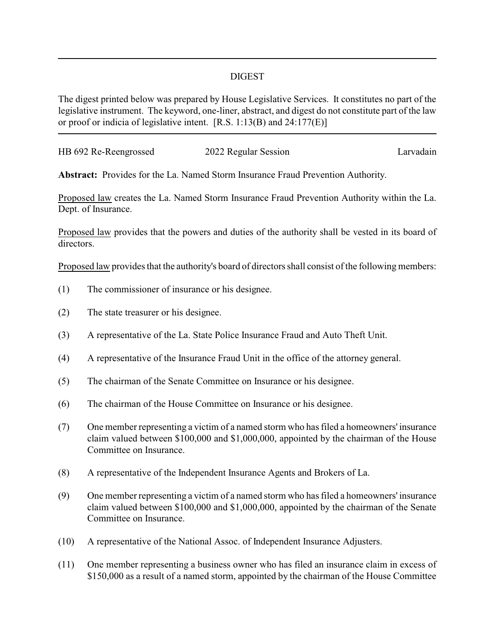## DIGEST

The digest printed below was prepared by House Legislative Services. It constitutes no part of the legislative instrument. The keyword, one-liner, abstract, and digest do not constitute part of the law or proof or indicia of legislative intent. [R.S. 1:13(B) and 24:177(E)]

| HB 692 Re-Reengrossed | 2022 Regular Session | Larvadain |
|-----------------------|----------------------|-----------|
|                       |                      |           |

**Abstract:** Provides for the La. Named Storm Insurance Fraud Prevention Authority.

Proposed law creates the La. Named Storm Insurance Fraud Prevention Authority within the La. Dept. of Insurance.

Proposed law provides that the powers and duties of the authority shall be vested in its board of directors.

Proposed law provides that the authority's board of directors shall consist of the following members:

- (1) The commissioner of insurance or his designee.
- (2) The state treasurer or his designee.
- (3) A representative of the La. State Police Insurance Fraud and Auto Theft Unit.
- (4) A representative of the Insurance Fraud Unit in the office of the attorney general.
- (5) The chairman of the Senate Committee on Insurance or his designee.
- (6) The chairman of the House Committee on Insurance or his designee.
- (7) One member representing a victim of a named storm who has filed a homeowners' insurance claim valued between \$100,000 and \$1,000,000, appointed by the chairman of the House Committee on Insurance.
- (8) A representative of the Independent Insurance Agents and Brokers of La.
- (9) One member representing a victim of a named storm who has filed a homeowners' insurance claim valued between \$100,000 and \$1,000,000, appointed by the chairman of the Senate Committee on Insurance.
- (10) A representative of the National Assoc. of Independent Insurance Adjusters.
- (11) One member representing a business owner who has filed an insurance claim in excess of \$150,000 as a result of a named storm, appointed by the chairman of the House Committee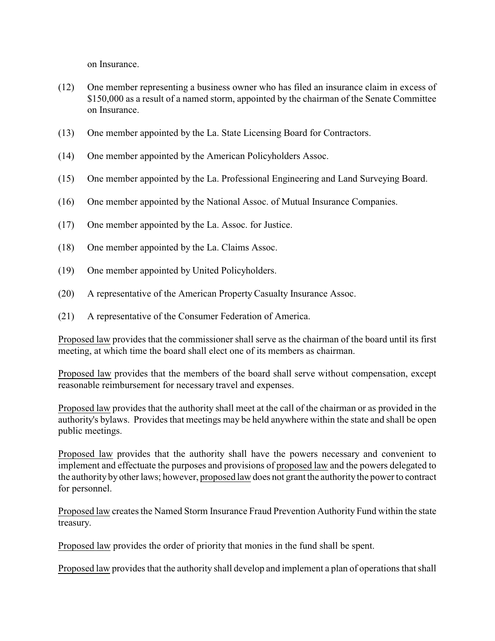on Insurance.

- (12) One member representing a business owner who has filed an insurance claim in excess of \$150,000 as a result of a named storm, appointed by the chairman of the Senate Committee on Insurance.
- (13) One member appointed by the La. State Licensing Board for Contractors.
- (14) One member appointed by the American Policyholders Assoc.
- (15) One member appointed by the La. Professional Engineering and Land Surveying Board.
- (16) One member appointed by the National Assoc. of Mutual Insurance Companies.
- (17) One member appointed by the La. Assoc. for Justice.
- (18) One member appointed by the La. Claims Assoc.
- (19) One member appointed by United Policyholders.
- (20) A representative of the American Property Casualty Insurance Assoc.
- (21) A representative of the Consumer Federation of America.

Proposed law provides that the commissioner shall serve as the chairman of the board until its first meeting, at which time the board shall elect one of its members as chairman.

Proposed law provides that the members of the board shall serve without compensation, except reasonable reimbursement for necessary travel and expenses.

Proposed law provides that the authority shall meet at the call of the chairman or as provided in the authority's bylaws. Provides that meetings may be held anywhere within the state and shall be open public meetings.

Proposed law provides that the authority shall have the powers necessary and convenient to implement and effectuate the purposes and provisions of proposed law and the powers delegated to the authority by other laws; however, proposed law does not grant the authority the power to contract for personnel.

Proposed law creates the Named Storm Insurance Fraud Prevention Authority Fund within the state treasury.

Proposed law provides the order of priority that monies in the fund shall be spent.

Proposed law provides that the authority shall develop and implement a plan of operations that shall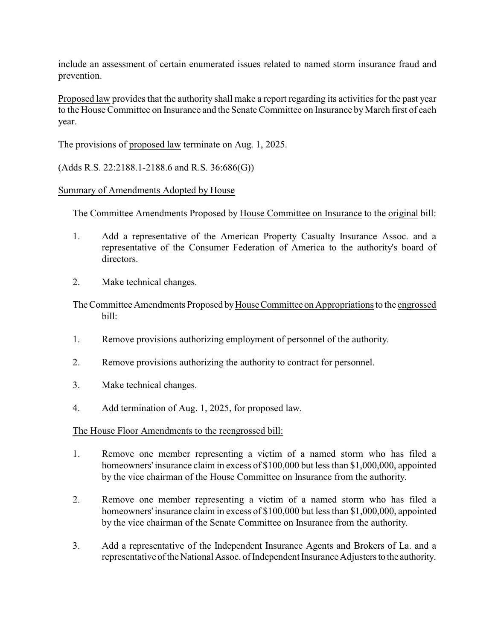include an assessment of certain enumerated issues related to named storm insurance fraud and prevention.

Proposed law provides that the authority shall make a report regarding its activities for the past year to the House Committee on Insurance and the Senate Committee on Insurance by March first of each year.

The provisions of proposed law terminate on Aug. 1, 2025.

(Adds R.S. 22:2188.1-2188.6 and R.S. 36:686(G))

## Summary of Amendments Adopted by House

The Committee Amendments Proposed by House Committee on Insurance to the original bill:

- 1. Add a representative of the American Property Casualty Insurance Assoc. and a representative of the Consumer Federation of America to the authority's board of directors.
- 2. Make technical changes.

The Committee Amendments Proposed by House Committee on Appropriations to the engrossed bill:

- 1. Remove provisions authorizing employment of personnel of the authority.
- 2. Remove provisions authorizing the authority to contract for personnel.
- 3. Make technical changes.
- 4. Add termination of Aug. 1, 2025, for proposed law.

## The House Floor Amendments to the reengrossed bill:

- 1. Remove one member representing a victim of a named storm who has filed a homeowners' insurance claim in excess of \$100,000 but less than \$1,000,000, appointed by the vice chairman of the House Committee on Insurance from the authority.
- 2. Remove one member representing a victim of a named storm who has filed a homeowners' insurance claim in excess of \$100,000 but less than \$1,000,000, appointed by the vice chairman of the Senate Committee on Insurance from the authority.
- 3. Add a representative of the Independent Insurance Agents and Brokers of La. and a representative of the National Assoc. of Independent Insurance Adjusters to the authority.